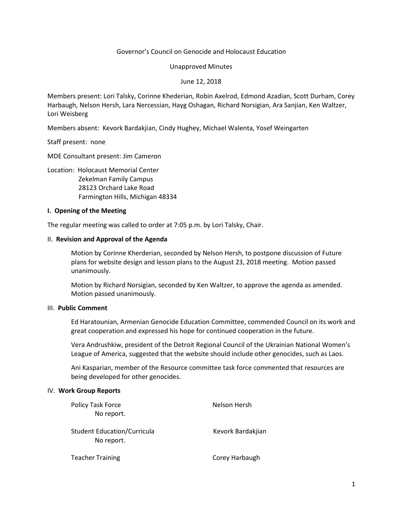### Governor's Council on Genocide and Holocaust Education

Unapproved Minutes

June 12, 2018

Members present: Lori Talsky, Corinne Khederian, Robin Axelrod, Edmond Azadian, Scott Durham, Corey Harbaugh, Nelson Hersh, Lara Nercessian, Hayg Oshagan, Richard Norsigian, Ara Sanjian, Ken Waltzer, Lori Weisberg

Members absent: Kevork Bardakjian, Cindy Hughey, Michael Walenta, Yosef Weingarten

Staff present: none

MDE Consultant present: Jim Cameron

Location: Holocaust Memorial Center

 Zekelman Family Campus 28123 Orchard Lake Road Farmington Hills, Michigan 48334

#### **I. Opening of the Meeting**

The regular meeting was called to order at 7:05 p.m. by Lori Talsky, Chair.

### II. **Revision and Approval of the Agenda**

Motion by Corinne Kherderian, seconded by Nelson Hersh, to postpone discussion of Future plans for website design and lesson plans to the August 23, 2018 meeting. Motion passed unanimously.

Motion by Richard Norsigian, seconded by Ken Waltzer, to approve the agenda as amended. Motion passed unanimously.

## III. **Public Comment**

Ed Haratounian, Armenian Genocide Education Committee, commended Council on its work and great cooperation and expressed his hope for continued cooperation in the future.

Vera Andrushkiw, president of the Detroit Regional Council of the Ukrainian National Women's League of America, suggested that the website should include other genocides, such as Laos.

Ani Kasparian, member of the Resource committee task force commented that resources are being developed for other genocides.

#### IV. **Work Group Reports**

| Policy Task Force<br>No report.                  | Nelson Hersh      |
|--------------------------------------------------|-------------------|
| <b>Student Education/Curricula</b><br>No report. | Kevork Bardakjian |
| <b>Teacher Training</b>                          | Corey Harbaugh    |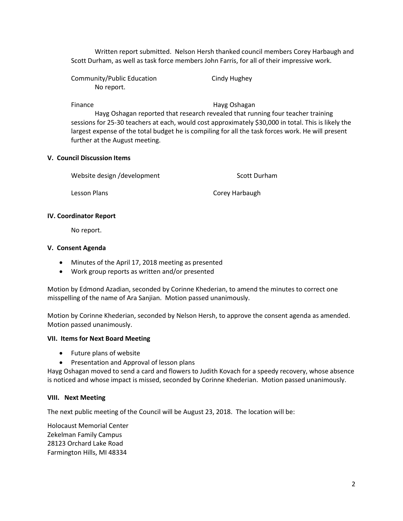Written report submitted. Nelson Hersh thanked council members Corey Harbaugh and Scott Durham, as well as task force members John Farris, for all of their impressive work.

Community/Public Education Cindy Hughey No report.

Finance **Hayg Oshagan** 

Hayg Oshagan reported that research revealed that running four teacher training sessions for 25-30 teachers at each, would cost approximately \$30,000 in total. This is likely the largest expense of the total budget he is compiling for all the task forces work. He will present further at the August meeting.

# **V. Council Discussion Items**

Website design /development Scott Durham

Lesson Plans **Corey Harbaugh** 

# **IV. Coordinator Report**

No report.

### **V. Consent Agenda**

- Minutes of the April 17, 2018 meeting as presented
- Work group reports as written and/or presented

Motion by Edmond Azadian, seconded by Corinne Khederian, to amend the minutes to correct one misspelling of the name of Ara Sanjian. Motion passed unanimously.

Motion by Corinne Khederian, seconded by Nelson Hersh, to approve the consent agenda as amended. Motion passed unanimously.

# **VII. Items for Next Board Meeting**

- Future plans of website
- **•** Presentation and Approval of lesson plans

Hayg Oshagan moved to send a card and flowers to Judith Kovach for a speedy recovery, whose absence is noticed and whose impact is missed, seconded by Corinne Khederian. Motion passed unanimously.

# **VIII. Next Meeting**

The next public meeting of the Council will be August 23, 2018. The location will be:

Holocaust Memorial Center Zekelman Family Campus 28123 Orchard Lake Road Farmington Hills, MI 48334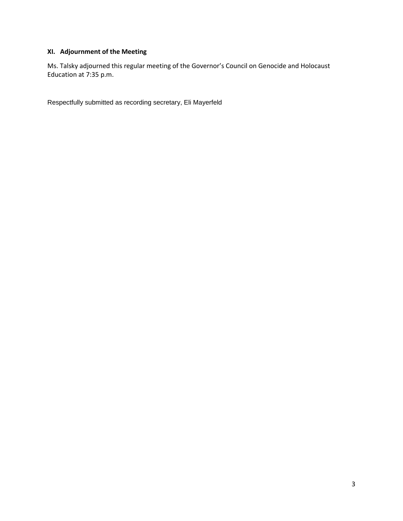# **XI. Adjournment of the Meeting**

Ms. Talsky adjourned this regular meeting of the Governor's Council on Genocide and Holocaust Education at 7:35 p.m.

Respectfully submitted as recording secretary, Eli Mayerfeld